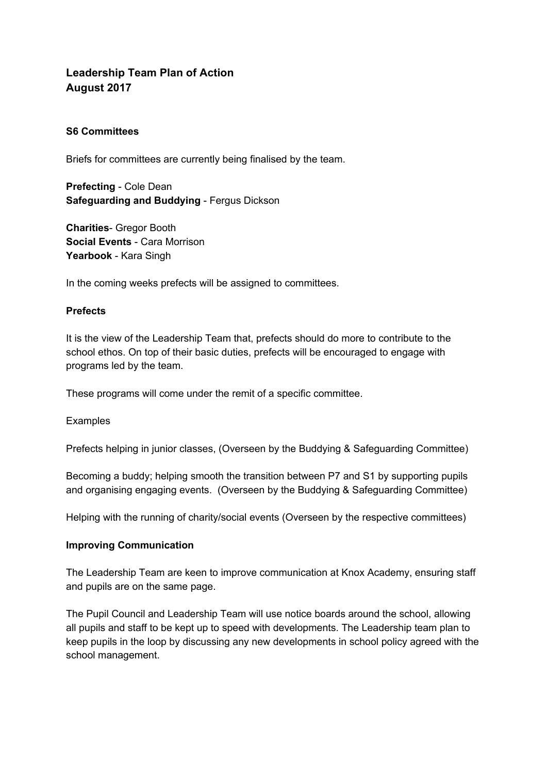# **Leadership Team Plan of Action August 2017**

## **S6 Committees**

Briefs for committees are currently being finalised by the team.

**Prefecting** - Cole Dean **Safeguarding and Buddying** - Fergus Dickson

**Charities**- Gregor Booth **Social Events** - Cara Morrison **Yearbook** - Kara Singh

In the coming weeks prefects will be assigned to committees.

#### **Prefects**

It is the view of the Leadership Team that, prefects should do more to contribute to the school ethos. On top of their basic duties, prefects will be encouraged to engage with programs led by the team.

These programs will come under the remit of a specific committee.

Examples

Prefects helping in junior classes, (Overseen by the Buddying & Safeguarding Committee)

Becoming a buddy; helping smooth the transition between P7 and S1 by supporting pupils and organising engaging events. (Overseen by the Buddying & Safeguarding Committee)

Helping with the running of charity/social events (Overseen by the respective committees)

#### **Improving Communication**

The Leadership Team are keen to improve communication at Knox Academy, ensuring staff and pupils are on the same page.

The Pupil Council and Leadership Team will use notice boards around the school, allowing all pupils and staff to be kept up to speed with developments. The Leadership team plan to keep pupils in the loop by discussing any new developments in school policy agreed with the school management.